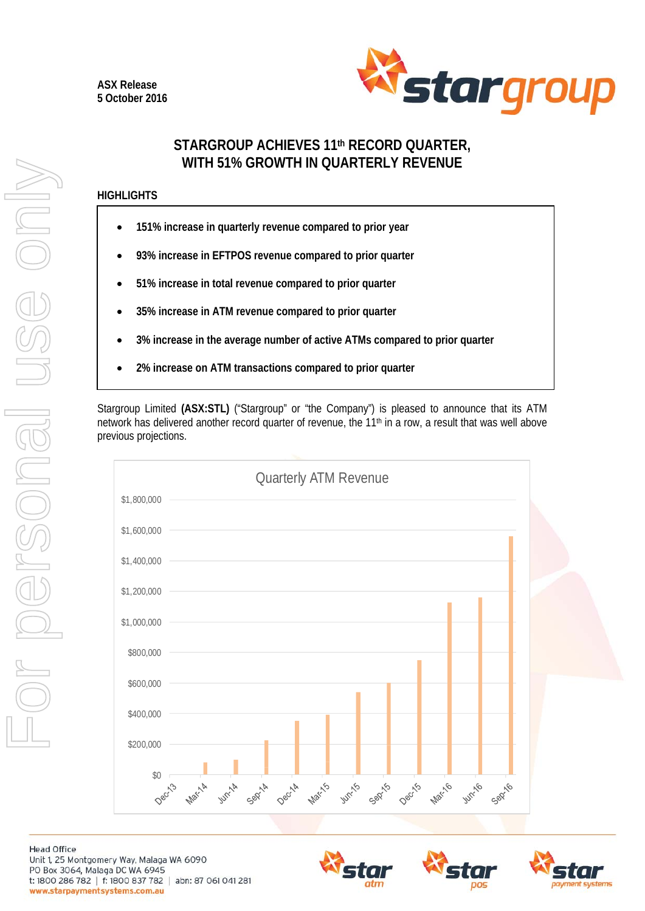

# **STARGROUP ACHIEVES 11th RECORD QUARTER, WITH 51% GROWTH IN QUARTERLY REVENUE**

## **HIGHLIGHTS**

- **151% increase in quarterly revenue compared to prior year**
- **93% increase in EFTPOS revenue compared to prior quarter**
- **51% increase in total revenue compared to prior quarter**
- **35% increase in ATM revenue compared to prior quarter**
- **3% increase in the average number of active ATMs compared to prior quarter**
- **2% increase on ATM transactions compared to prior quarter**

Stargroup Limited **(ASX:STL)** ("Stargroup" or "the Company") is pleased to announce that its ATM network has delivered another record quarter of revenue, the 11<sup>th</sup> in a row, a result that was well above previous projections.



**Head Office** Unit 1, 25 Montgomery Way, Malaga WA 6090 PO Box 3064, Malaga DC WA 6945 t: 1800 286 782 | f: 1800 837 782 | abn: 87 061 041 281 www.starpaymentsystems.com.au





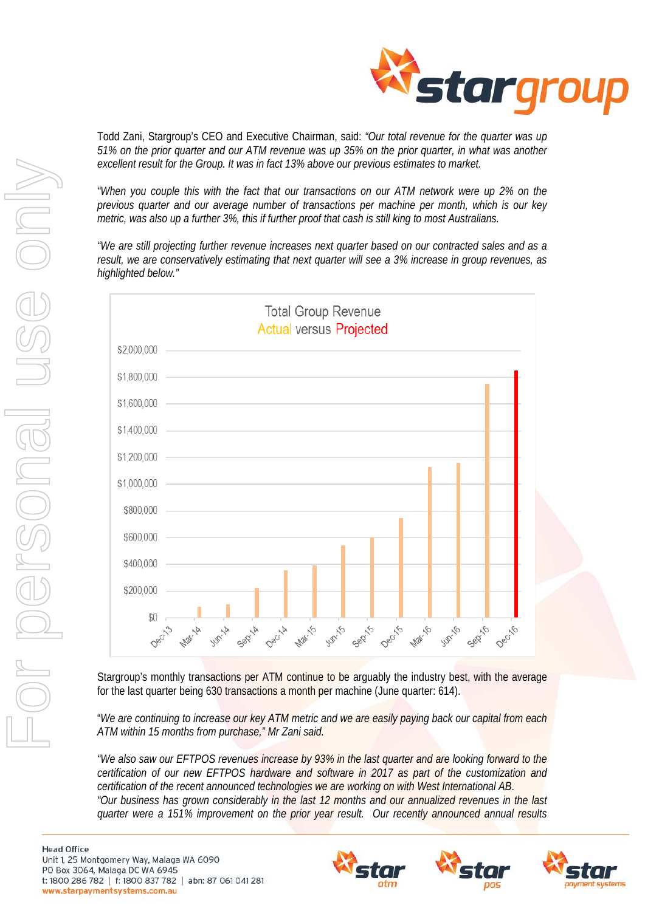

Todd Zani, Stargroup's CEO and Executive Chairman, said: *"Our total revenue for the quarter was up 51% on the prior quarter and our ATM revenue was up 35% on the prior quarter, in what was another excellent result for the Group. It was in fact 13% above our previous estimates to market.* 

*"When you couple this with the fact that our transactions on our ATM network were up 2% on the previous quarter and our average number of transactions per machine per month, which is our key metric, was also up a further 3%, this if further proof that cash is still king to most Australians.* 

*"We are still projecting further revenue increases next quarter based on our contracted sales and as a result, we are conservatively estimating that next quarter will see a 3% increase in group revenues, as highlighted below."* 



Stargroup's monthly transactions per ATM continue to be arguably the industry best, with the average for the last quarter being 630 transactions a month per machine (June quarter: 614).

"*We are continuing to increase our key ATM metric and we are easily paying back our capital from each ATM within 15 months from purchase," Mr Zani said.* 

*"We also saw our EFTPOS revenues increase by 93% in the last quarter and are looking forward to the certification of our new EFTPOS hardware and software in 2017 as part of the customization and certification of the recent announced technologies we are working on with West International AB*. *"Our business has grown considerably in the last 12 months and our annualized revenues in the last quarter were a 151% improvement on the prior year result. Our recently announced annual results* 





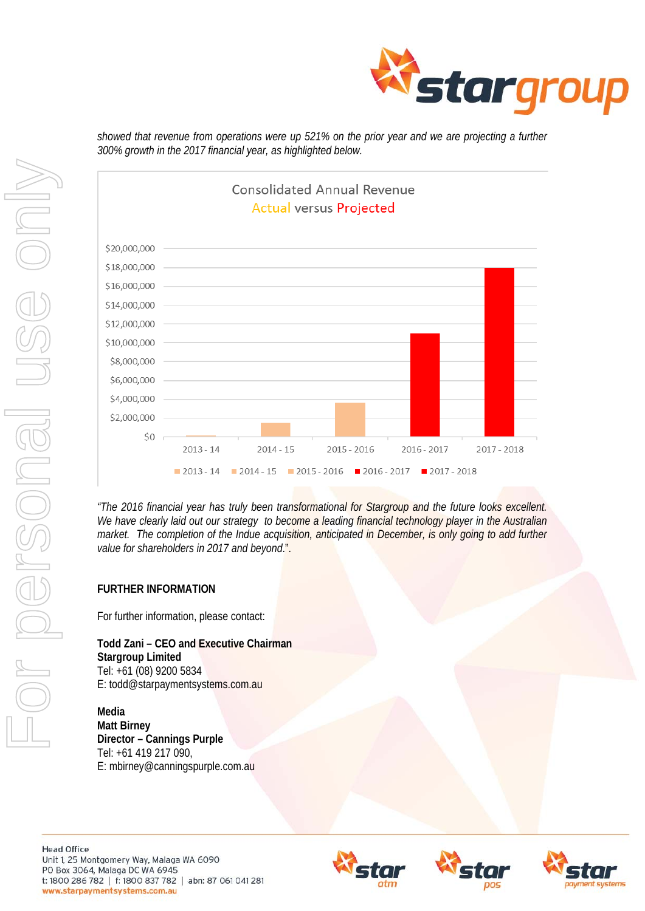





*"The 2016 financial year has truly been transformational for Stargroup and the future looks excellent. We have clearly laid out our strategy to become a leading financial technology player in the Australian market. The completion of the Indue acquisition, anticipated in December, is only going to add further value for shareholders in 2017 and beyond*.".

## **FURTHER INFORMATION**

For further information, please contact:

**Todd Zani – CEO and Executive Chairman Stargroup Limited**  Tel: +61 (08) 9200 5834 E: todd@starpaymentsystems.com.au

**Media Matt Birney Director – Cannings Purple**  Tel: +61 419 217 090, E: mbirney@canningspurple.com.au